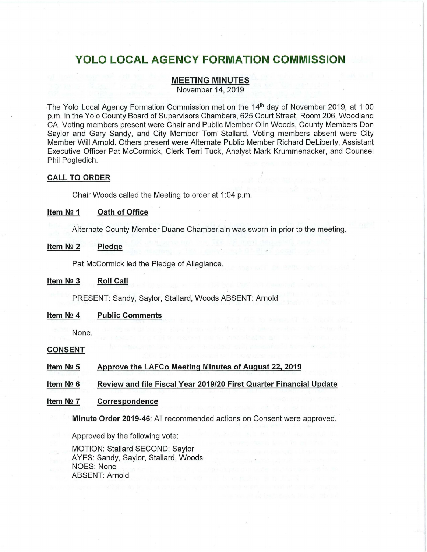# **YOLO LOCAL AGENCY FORMATION COMMISSION**

# **MEETING MINUTES**

November 14, 2019

The Yolo Local Agency Formation Commission met on the 14<sup>th</sup> day of November 2019, at 1:00 p.m. in the Yolo County Board of Supervisors Chambers, 625 Court Street, Room 206, Woodland CA. Voting members present were Chair and Public Member Olin Woods, County Members Don Saylor and Gary Sandy, and City Member Tom Stallard. Voting members absent were City Member Will Arnold. Others present were Alternate Public Member Richard Deliberty, Assistant Executive Officer Pat McCormick, Clerk Terri Tuck, Analyst Mark Krummenacker, and Counsel Phil Pogledich.

## **CALL TO ORDER**

Chair Woods called the Meeting to order at 1 :04 p.m.

#### **Item N2 1 Oath of Office**

Alternate County Member Duane Chamberlain was sworn in prior to the meeting.

#### **Item N2 2 Pledge**

Pat McCormick led the Pledge of Allegiance.

#### **Item N2 3 Roll Call**

PRESENT: Sandy, Saylor, Stallard, Woods ABSENT: Arnold

#### **Item N2 4 Public Comments**

None.

#### **CONSENT**

**Item N2 5 Approve the LAFCo Meeting Minutes of August 22, 2019** 

**Item N2 6 Review and file Fiscal Year 2019/20 First Quarter Financial Update** 

#### **Item N2 7 Correspondence**

**Minute Order 2019-46:** All recommended actions on Consent were approved.

Approved by the following vote:

MOTION: Stallard SECOND: Saylor AYES: Sandy, Saylor, Stallard, Woods NOES: None ABSENT: Arnold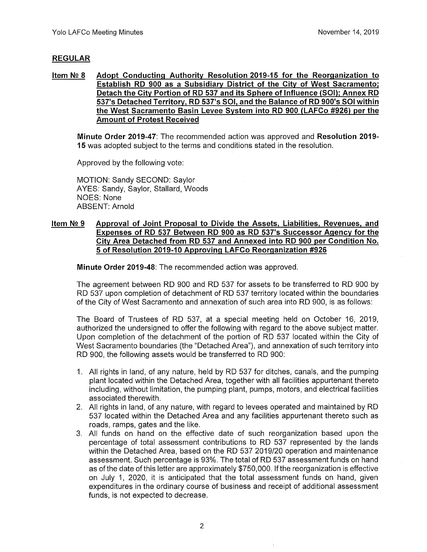# **REGULAR**

**Item Nº 8 Adopt Conducting Authority Resolution 2019-15 for the Reorganization to Establish RD 900 as a Subsidiary District of the City of West Sacramento; Detach the City Portion of RD 537 and its Sphere of Influence (SOI); Annex RD 537's Detached Territory, RD 537's SOI, and the Balance of RD 900's SOI within the West Sacramento Basin Levee System into RD 900 (LAFCo #926) per the Amount of Protest Received** 

**Minute Order 2019-47:** The recommended action was approved and **Resolution 2019- 15** was adopted subject to the terms and conditions stated in the resolution.

Approved by the following vote:

MOTION: Sandy SECOND: Saylor AYES: Sandy, Saylor, Stallard, Woods NOES: None ABSENT: Arnold

# Item № 9 Approval of Joint Proposal to Divide the Assets, Liabilities, Revenues, and **Expenses of RD 537 Between RD 900 as RD 537's Successor Agency for the City Area Detached from RD 537 and Annexed into RD 900 per Condition No. 5 of Resolution 2019-10 Approving LAFCo Reorganization #926**

**Minute Order 2019-48:** The recommended action was approved.

The agreement between RD 900 and RD 537 for assets to be transferred to RD 900 by RD 537 upon completion of detachment of RD 537 territory located within the boundaries of the City of West Sacramento and annexation of such area into RD 900, is as follows:

The Board of Trustees of RD 537, at a special meeting held on October 16, 2019, authorized the undersigned to offer the following with regard to the above subject matter. Upon completion of the detachment of the portion of RD 537 located within the City of West Sacramento boundaries (the "Detached Area"), and annexation of such territory into RD 900, the following assets would be transferred to RD 900:

- 1. All rights in land, of any nature, held by RD 537 for ditches, canals, and the pumping plant located within the Detached Area, together with all facilities appurtenant thereto including, without limitation, the pumping plant, pumps, motors, and electrical facilities associated therewith.
- 2. All rights in land, of any nature, with regard to levees operated and maintained by RD 537 located within the Detached Area and any facilities appurtenant thereto such as roads, ramps, gates and the like.
- 3. All funds on hand on the effective date of such reorganization based upon the percentage of total assessment contributions to RD 537 represented by the lands within the Detached Area, based on the RD 537 2019/20 operation and maintenance assessment. Such percentage is 93%. The total of RD 537 assessment funds on hand as of the date of this letter are approximately \$750,000. If the reorganization is effective on July 1, 2020, it is anticipated that the total assessment funds on hand, given expenditures in the ordinary course of business and receipt of additional assessment funds, is not expected to decrease.